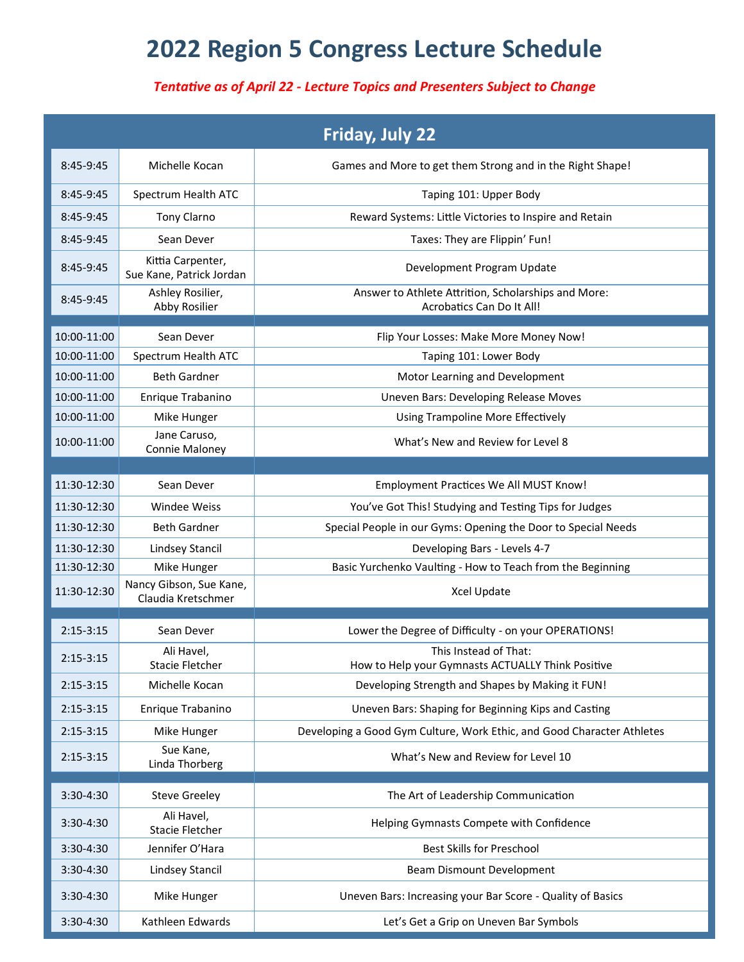## **2022 Region 5 Congress Lecture Schedule**

## *Tentative as of April 22 - Lecture Topics and Presenters Subject to Change*

|             |                                               | Friday, July 22                                                                  |
|-------------|-----------------------------------------------|----------------------------------------------------------------------------------|
| 8:45-9:45   | Michelle Kocan                                | Games and More to get them Strong and in the Right Shape!                        |
| 8:45-9:45   | Spectrum Health ATC                           | Taping 101: Upper Body                                                           |
| 8:45-9:45   | <b>Tony Clarno</b>                            | Reward Systems: Little Victories to Inspire and Retain                           |
| 8:45-9:45   | Sean Dever                                    | Taxes: They are Flippin' Fun!                                                    |
| 8:45-9:45   | Kittia Carpenter,<br>Sue Kane, Patrick Jordan | Development Program Update                                                       |
| $8:45-9:45$ | Ashley Rosilier,<br>Abby Rosilier             | Answer to Athlete Attrition, Scholarships and More:<br>Acrobatics Can Do It All! |
| 10:00-11:00 | Sean Dever                                    | Flip Your Losses: Make More Money Now!                                           |
| 10:00-11:00 | Spectrum Health ATC                           | Taping 101: Lower Body                                                           |
| 10:00-11:00 | <b>Beth Gardner</b>                           | Motor Learning and Development                                                   |
| 10:00-11:00 | Enrique Trabanino                             | <b>Uneven Bars: Developing Release Moves</b>                                     |
| 10:00-11:00 | Mike Hunger                                   | <b>Using Trampoline More Effectively</b>                                         |
| 10:00-11:00 | Jane Caruso,<br>Connie Maloney                | What's New and Review for Level 8                                                |
|             |                                               |                                                                                  |
| 11:30-12:30 | Sean Dever                                    | Employment Practices We All MUST Know!                                           |
| 11:30-12:30 | Windee Weiss                                  | You've Got This! Studying and Testing Tips for Judges                            |
| 11:30-12:30 | <b>Beth Gardner</b>                           | Special People in our Gyms: Opening the Door to Special Needs                    |
| 11:30-12:30 | Lindsey Stancil                               | Developing Bars - Levels 4-7                                                     |
| 11:30-12:30 | Mike Hunger                                   | Basic Yurchenko Vaulting - How to Teach from the Beginning                       |
| 11:30-12:30 | Nancy Gibson, Sue Kane,<br>Claudia Kretschmer | Xcel Update                                                                      |
| $2:15-3:15$ | Sean Dever                                    | Lower the Degree of Difficulty - on your OPERATIONS!                             |
| $2:15-3:15$ | Ali Havel,<br><b>Stacie Fletcher</b>          | This Instead of That:<br>How to Help your Gymnasts ACTUALLY Think Positive       |
| $2:15-3:15$ | Michelle Kocan                                | Developing Strength and Shapes by Making it FUN!                                 |
| $2:15-3:15$ | Enrique Trabanino                             | Uneven Bars: Shaping for Beginning Kips and Casting                              |
| $2:15-3:15$ | Mike Hunger                                   | Developing a Good Gym Culture, Work Ethic, and Good Character Athletes           |
| $2:15-3:15$ | Sue Kane,<br>Linda Thorberg                   | What's New and Review for Level 10                                               |
| 3:30-4:30   | <b>Steve Greeley</b>                          | The Art of Leadership Communication                                              |
| $3:30-4:30$ | Ali Havel,<br>Stacie Fletcher                 | Helping Gymnasts Compete with Confidence                                         |
| $3:30-4:30$ | Jennifer O'Hara                               | <b>Best Skills for Preschool</b>                                                 |
| $3:30-4:30$ | Lindsey Stancil                               | Beam Dismount Development                                                        |
| $3:30-4:30$ | Mike Hunger                                   | Uneven Bars: Increasing your Bar Score - Quality of Basics                       |
| 3:30-4:30   | Kathleen Edwards                              | Let's Get a Grip on Uneven Bar Symbols                                           |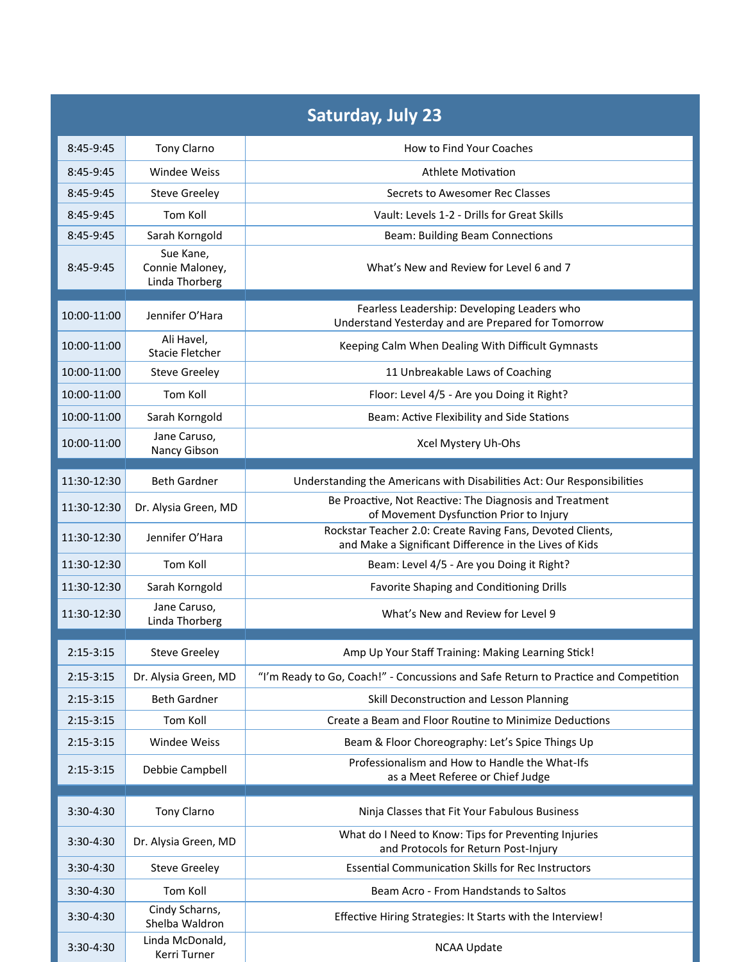| <b>Saturday, July 23</b> |                                                |                                                                                                       |  |  |  |
|--------------------------|------------------------------------------------|-------------------------------------------------------------------------------------------------------|--|--|--|
| 8:45-9:45                | Tony Clarno                                    | How to Find Your Coaches                                                                              |  |  |  |
| $8:45-9:45$              | Windee Weiss                                   | Athlete Motivation                                                                                    |  |  |  |
| $8:45-9:45$              | <b>Steve Greeley</b>                           | Secrets to Awesomer Rec Classes                                                                       |  |  |  |
| $8:45-9:45$              | Tom Koll                                       | Vault: Levels 1-2 - Drills for Great Skills                                                           |  |  |  |
| $8:45-9:45$              | Sarah Korngold                                 | <b>Beam: Building Beam Connections</b>                                                                |  |  |  |
| $8:45-9:45$              | Sue Kane,<br>Connie Maloney,<br>Linda Thorberg | What's New and Review for Level 6 and 7                                                               |  |  |  |
| 10:00-11:00              | Jennifer O'Hara                                | Fearless Leadership: Developing Leaders who                                                           |  |  |  |
|                          |                                                | Understand Yesterday and are Prepared for Tomorrow                                                    |  |  |  |
| 10:00-11:00              | Ali Havel,<br>Stacie Fletcher                  | Keeping Calm When Dealing With Difficult Gymnasts                                                     |  |  |  |
| 10:00-11:00              | <b>Steve Greeley</b>                           | 11 Unbreakable Laws of Coaching                                                                       |  |  |  |
| 10:00-11:00              | Tom Koll                                       | Floor: Level 4/5 - Are you Doing it Right?                                                            |  |  |  |
| 10:00-11:00              | Sarah Korngold                                 | Beam: Active Flexibility and Side Stations                                                            |  |  |  |
| 10:00-11:00              | Jane Caruso,<br>Nancy Gibson                   | Xcel Mystery Uh-Ohs                                                                                   |  |  |  |
| 11:30-12:30              | <b>Beth Gardner</b>                            | Understanding the Americans with Disabilities Act: Our Responsibilities                               |  |  |  |
| 11:30-12:30              | Dr. Alysia Green, MD                           | Be Proactive, Not Reactive: The Diagnosis and Treatment                                               |  |  |  |
|                          |                                                | of Movement Dysfunction Prior to Injury<br>Rockstar Teacher 2.0: Create Raving Fans, Devoted Clients, |  |  |  |
| 11:30-12:30              | Jennifer O'Hara                                | and Make a Significant Difference in the Lives of Kids                                                |  |  |  |
| 11:30-12:30              | Tom Koll                                       | Beam: Level 4/5 - Are you Doing it Right?                                                             |  |  |  |
| 11:30-12:30              | Sarah Korngold                                 | Favorite Shaping and Conditioning Drills                                                              |  |  |  |
| 11:30-12:30              | Jane Caruso,<br>Linda Thorberg                 | What's New and Review for Level 9                                                                     |  |  |  |
| $2:15-3:15$              | <b>Steve Greeley</b>                           | Amp Up Your Staff Training: Making Learning Stick!                                                    |  |  |  |
| $2:15-3:15$              | Dr. Alysia Green, MD                           | "I'm Ready to Go, Coach!" - Concussions and Safe Return to Practice and Competition                   |  |  |  |
| $2:15-3:15$              | <b>Beth Gardner</b>                            | Skill Deconstruction and Lesson Planning                                                              |  |  |  |
| $2:15 - 3:15$            | Tom Koll                                       | Create a Beam and Floor Routine to Minimize Deductions                                                |  |  |  |
| $2:15-3:15$              | Windee Weiss                                   | Beam & Floor Choreography: Let's Spice Things Up                                                      |  |  |  |
| $2:15 - 3:15$            | Debbie Campbell                                | Professionalism and How to Handle the What-Ifs<br>as a Meet Referee or Chief Judge                    |  |  |  |
|                          |                                                |                                                                                                       |  |  |  |
| 3:30-4:30                | Tony Clarno                                    | Ninja Classes that Fit Your Fabulous Business                                                         |  |  |  |
| $3:30-4:30$              | Dr. Alysia Green, MD                           | What do I Need to Know: Tips for Preventing Injuries<br>and Protocols for Return Post-Injury          |  |  |  |
| $3:30-4:30$              | <b>Steve Greeley</b>                           | <b>Essential Communication Skills for Rec Instructors</b>                                             |  |  |  |
| 3:30-4:30                | Tom Koll                                       | Beam Acro - From Handstands to Saltos                                                                 |  |  |  |
| $3:30-4:30$              | Cindy Scharns,<br>Shelba Waldron               | Effective Hiring Strategies: It Starts with the Interview!                                            |  |  |  |
| 3:30-4:30                | Linda McDonald,<br>Kerri Turner                | <b>NCAA Update</b>                                                                                    |  |  |  |